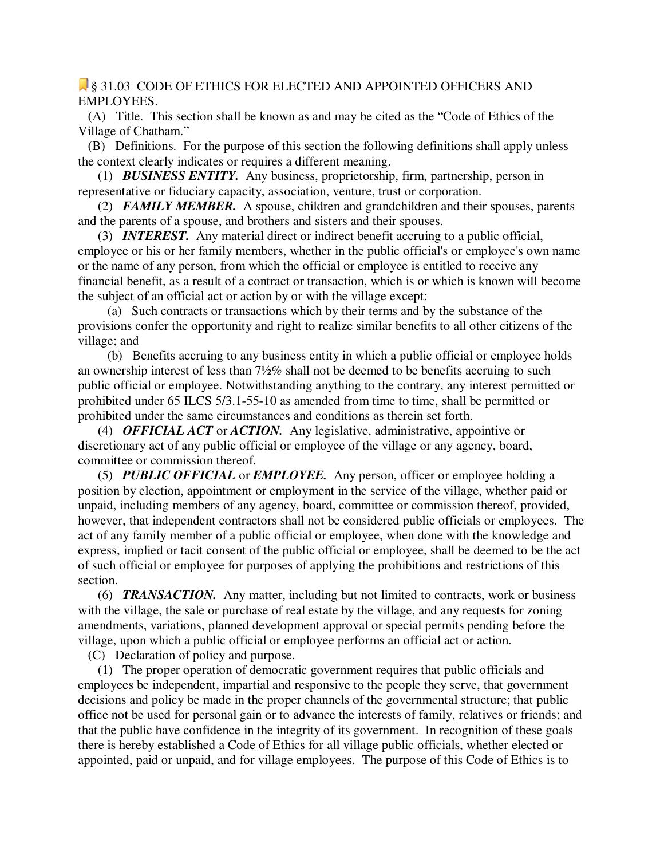## **E** § 31.03 CODE OF ETHICS FOR ELECTED AND APPOINTED OFFICERS AND EMPLOYEES.

 (A) Title. This section shall be known as and may be cited as the "Code of Ethics of the Village of Chatham."

 (B) Definitions. For the purpose of this section the following definitions shall apply unless the context clearly indicates or requires a different meaning.

 (1) *BUSINESS ENTITY.* Any business, proprietorship, firm, partnership, person in representative or fiduciary capacity, association, venture, trust or corporation.

 (2) *FAMILY MEMBER.* A spouse, children and grandchildren and their spouses, parents and the parents of a spouse, and brothers and sisters and their spouses.

 (3) *INTEREST.* Any material direct or indirect benefit accruing to a public official, employee or his or her family members, whether in the public official's or employee's own name or the name of any person, from which the official or employee is entitled to receive any financial benefit, as a result of a contract or transaction, which is or which is known will become the subject of an official act or action by or with the village except:

 (a) Such contracts or transactions which by their terms and by the substance of the provisions confer the opportunity and right to realize similar benefits to all other citizens of the village; and

 (b) Benefits accruing to any business entity in which a public official or employee holds an ownership interest of less than 7½% shall not be deemed to be benefits accruing to such public official or employee. Notwithstanding anything to the contrary, any interest permitted or prohibited under 65 ILCS 5/3.1-55-10 as amended from time to time, shall be permitted or prohibited under the same circumstances and conditions as therein set forth.

 (4) *OFFICIAL ACT* or *ACTION.* Any legislative, administrative, appointive or discretionary act of any public official or employee of the village or any agency, board, committee or commission thereof.

 (5) *PUBLIC OFFICIAL* or *EMPLOYEE.* Any person, officer or employee holding a position by election, appointment or employment in the service of the village, whether paid or unpaid, including members of any agency, board, committee or commission thereof, provided, however, that independent contractors shall not be considered public officials or employees. The act of any family member of a public official or employee, when done with the knowledge and express, implied or tacit consent of the public official or employee, shall be deemed to be the act of such official or employee for purposes of applying the prohibitions and restrictions of this section.

 (6) *TRANSACTION.* Any matter, including but not limited to contracts, work or business with the village, the sale or purchase of real estate by the village, and any requests for zoning amendments, variations, planned development approval or special permits pending before the village, upon which a public official or employee performs an official act or action.

(C) Declaration of policy and purpose.

 (1) The proper operation of democratic government requires that public officials and employees be independent, impartial and responsive to the people they serve, that government decisions and policy be made in the proper channels of the governmental structure; that public office not be used for personal gain or to advance the interests of family, relatives or friends; and that the public have confidence in the integrity of its government. In recognition of these goals there is hereby established a Code of Ethics for all village public officials, whether elected or appointed, paid or unpaid, and for village employees. The purpose of this Code of Ethics is to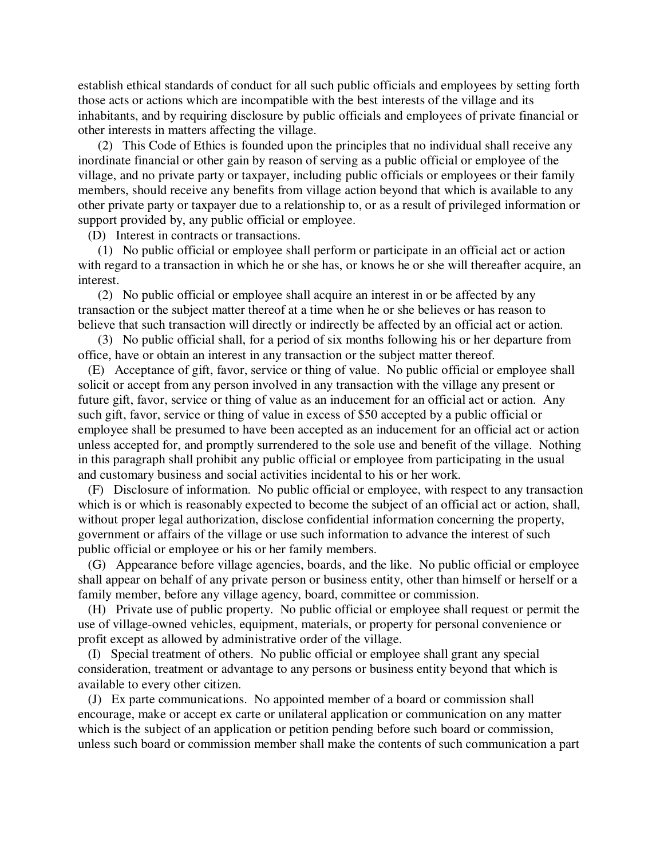establish ethical standards of conduct for all such public officials and employees by setting forth those acts or actions which are incompatible with the best interests of the village and its inhabitants, and by requiring disclosure by public officials and employees of private financial or other interests in matters affecting the village.

 (2) This Code of Ethics is founded upon the principles that no individual shall receive any inordinate financial or other gain by reason of serving as a public official or employee of the village, and no private party or taxpayer, including public officials or employees or their family members, should receive any benefits from village action beyond that which is available to any other private party or taxpayer due to a relationship to, or as a result of privileged information or support provided by, any public official or employee.

(D) Interest in contracts or transactions.

 (1) No public official or employee shall perform or participate in an official act or action with regard to a transaction in which he or she has, or knows he or she will thereafter acquire, an interest.

 (2) No public official or employee shall acquire an interest in or be affected by any transaction or the subject matter thereof at a time when he or she believes or has reason to believe that such transaction will directly or indirectly be affected by an official act or action.

 (3) No public official shall, for a period of six months following his or her departure from office, have or obtain an interest in any transaction or the subject matter thereof.

 (E) Acceptance of gift, favor, service or thing of value. No public official or employee shall solicit or accept from any person involved in any transaction with the village any present or future gift, favor, service or thing of value as an inducement for an official act or action. Any such gift, favor, service or thing of value in excess of \$50 accepted by a public official or employee shall be presumed to have been accepted as an inducement for an official act or action unless accepted for, and promptly surrendered to the sole use and benefit of the village. Nothing in this paragraph shall prohibit any public official or employee from participating in the usual and customary business and social activities incidental to his or her work.

 (F) Disclosure of information. No public official or employee, with respect to any transaction which is or which is reasonably expected to become the subject of an official act or action, shall, without proper legal authorization, disclose confidential information concerning the property, government or affairs of the village or use such information to advance the interest of such public official or employee or his or her family members.

 (G) Appearance before village agencies, boards, and the like. No public official or employee shall appear on behalf of any private person or business entity, other than himself or herself or a family member, before any village agency, board, committee or commission.

 (H) Private use of public property. No public official or employee shall request or permit the use of village-owned vehicles, equipment, materials, or property for personal convenience or profit except as allowed by administrative order of the village.

 (I) Special treatment of others. No public official or employee shall grant any special consideration, treatment or advantage to any persons or business entity beyond that which is available to every other citizen.

 (J) Ex parte communications. No appointed member of a board or commission shall encourage, make or accept ex carte or unilateral application or communication on any matter which is the subject of an application or petition pending before such board or commission, unless such board or commission member shall make the contents of such communication a part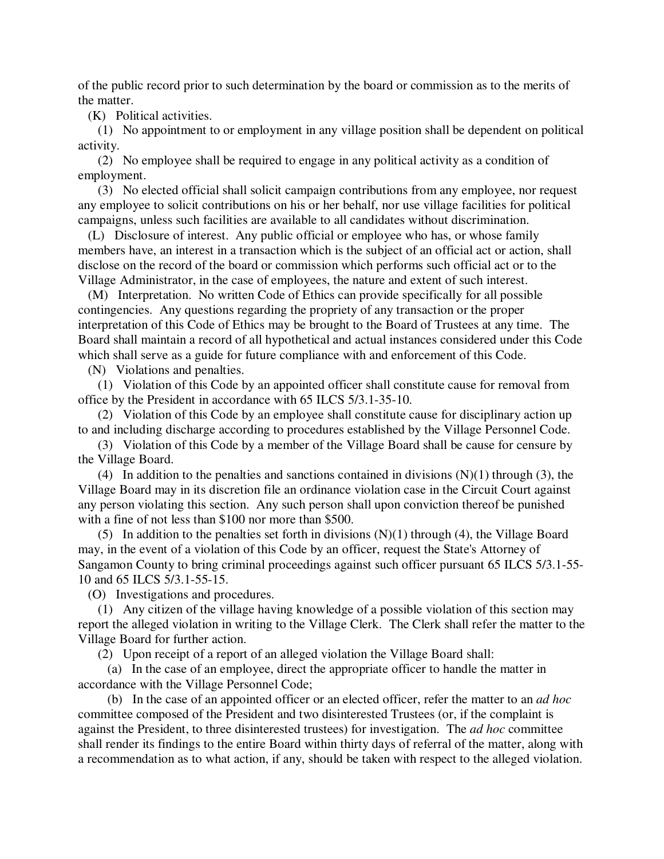of the public record prior to such determination by the board or commission as to the merits of the matter.

(K) Political activities.

 (1) No appointment to or employment in any village position shall be dependent on political activity.

 (2) No employee shall be required to engage in any political activity as a condition of employment.

 (3) No elected official shall solicit campaign contributions from any employee, nor request any employee to solicit contributions on his or her behalf, nor use village facilities for political campaigns, unless such facilities are available to all candidates without discrimination.

 (L) Disclosure of interest. Any public official or employee who has, or whose family members have, an interest in a transaction which is the subject of an official act or action, shall disclose on the record of the board or commission which performs such official act or to the Village Administrator, in the case of employees, the nature and extent of such interest.

 (M) Interpretation. No written Code of Ethics can provide specifically for all possible contingencies. Any questions regarding the propriety of any transaction or the proper interpretation of this Code of Ethics may be brought to the Board of Trustees at any time. The Board shall maintain a record of all hypothetical and actual instances considered under this Code which shall serve as a guide for future compliance with and enforcement of this Code.

(N) Violations and penalties.

 (1) Violation of this Code by an appointed officer shall constitute cause for removal from office by the President in accordance with 65 ILCS 5/3.1-35-10.

 (2) Violation of this Code by an employee shall constitute cause for disciplinary action up to and including discharge according to procedures established by the Village Personnel Code.

 (3) Violation of this Code by a member of the Village Board shall be cause for censure by the Village Board.

(4) In addition to the penalties and sanctions contained in divisions  $(N)(1)$  through (3), the Village Board may in its discretion file an ordinance violation case in the Circuit Court against any person violating this section. Any such person shall upon conviction thereof be punished with a fine of not less than \$100 nor more than \$500.

(5) In addition to the penalties set forth in divisions  $(N)(1)$  through (4), the Village Board may, in the event of a violation of this Code by an officer, request the State's Attorney of Sangamon County to bring criminal proceedings against such officer pursuant 65 ILCS 5/3.1-55- 10 and 65 ILCS 5/3.1-55-15.

(O) Investigations and procedures.

 (1) Any citizen of the village having knowledge of a possible violation of this section may report the alleged violation in writing to the Village Clerk. The Clerk shall refer the matter to the Village Board for further action.

(2) Upon receipt of a report of an alleged violation the Village Board shall:

 (a) In the case of an employee, direct the appropriate officer to handle the matter in accordance with the Village Personnel Code;

 (b) In the case of an appointed officer or an elected officer, refer the matter to an *ad hoc* committee composed of the President and two disinterested Trustees (or, if the complaint is against the President, to three disinterested trustees) for investigation. The *ad hoc* committee shall render its findings to the entire Board within thirty days of referral of the matter, along with a recommendation as to what action, if any, should be taken with respect to the alleged violation.